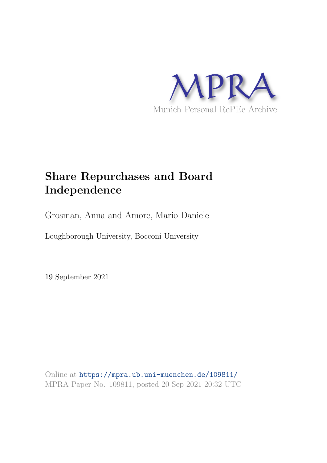

# **Share Repurchases and Board Independence**

Grosman, Anna and Amore, Mario Daniele

Loughborough University, Bocconi University

19 September 2021

Online at https://mpra.ub.uni-muenchen.de/109811/ MPRA Paper No. 109811, posted 20 Sep 2021 20:32 UTC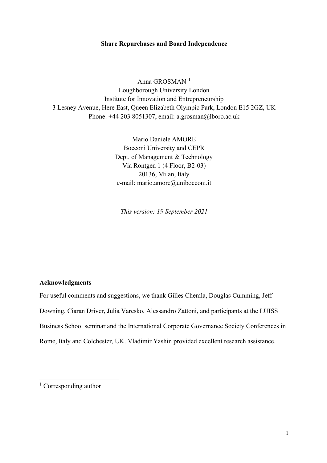#### **Share Repurchases and Board Independence**

Anna GROSMAN<sup>[1](#page-1-0)</sup> Loughborough University London Institute for Innovation and Entrepreneurship 3 Lesney Avenue, Here East, Queen Elizabeth Olympic Park, London E15 2GZ, UK Phone: +44 203 8051307, email: a.grosman@lboro.ac.uk

> Mario Daniele AMORE Bocconi University and CEPR Dept. of Management & Technology Via Rontgen 1 (4 Floor, B2-03) 20136, Milan, Italy e-mail: mario.amore@unibocconi.it

*This version: 19 September 2021* 

#### **Acknowledgments**

For useful comments and suggestions, we thank Gilles Chemla, Douglas Cumming, Jeff Downing, Ciaran Driver, Julia Varesko, Alessandro Zattoni, and participants at the LUISS Business School seminar and the International Corporate Governance Society Conferences in Rome, Italy and Colchester, UK. Vladimir Yashin provided excellent research assistance.

<span id="page-1-0"></span><sup>&</sup>lt;sup>1</sup> Corresponding author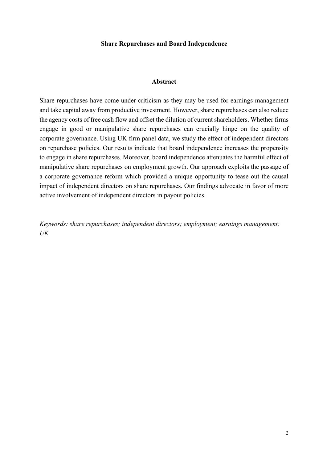#### **Share Repurchases and Board Independence**

#### **Abstract**

Share repurchases have come under criticism as they may be used for earnings management and take capital away from productive investment. However, share repurchases can also reduce the agency costs of free cash flow and offset the dilution of current shareholders. Whether firms engage in good or manipulative share repurchases can crucially hinge on the quality of corporate governance. Using UK firm panel data, we study the effect of independent directors on repurchase policies. Our results indicate that board independence increases the propensity to engage in share repurchases. Moreover, board independence attenuates the harmful effect of manipulative share repurchases on employment growth. Our approach exploits the passage of a corporate governance reform which provided a unique opportunity to tease out the causal impact of independent directors on share repurchases. Our findings advocate in favor of more active involvement of independent directors in payout policies.

*Keywords: share repurchases; independent directors; employment; earnings management; UK*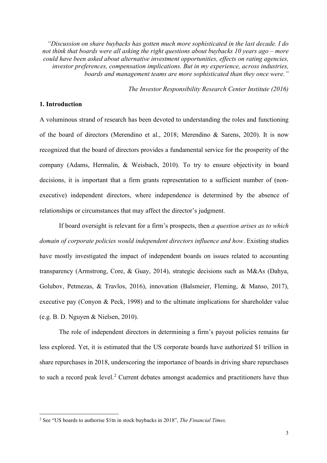*"Discussion on share buybacks has gotten much more sophisticated in the last decade. I do not think that boards were all asking the right questions about buybacks 10 years ago – more could have been asked about alternative investment opportunities, effects on rating agencies, investor preferences, compensation implications. But in my experience, across industries, boards and management teams are more sophisticated than they once were."* 

*The Investor Responsibility Research Center Institute (2016)*

#### **1. Introduction**

A voluminous strand of research has been devoted to understanding the roles and functioning of the board of directors (Merendino et al., 2018; Merendino & Sarens, 2020). It is now recognized that the board of directors provides a fundamental service for the prosperity of the company (Adams, Hermalin, & Weisbach, 2010). To try to ensure objectivity in board decisions, it is important that a firm grants representation to a sufficient number of (nonexecutive) independent directors, where independence is determined by the absence of relationships or circumstances that may affect the director's judgment.

If board oversight is relevant for a firm's prospects, then *a question arises as to which domain of corporate policies would independent directors influence and how*. Existing studies have mostly investigated the impact of independent boards on issues related to accounting transparency (Armstrong, Core, & Guay, 2014), strategic decisions such as M&As (Dahya, Golubov, Petmezas, & Travlos, 2016), innovation (Balsmeier, Fleming, & Manso, 2017), executive pay (Conyon & Peck, 1998) and to the ultimate implications for shareholder value (e.g. B. D. Nguyen & Nielsen, 2010).

The role of independent directors in determining a firm's payout policies remains far less explored. Yet, it is estimated that the US corporate boards have authorized \$1 trillion in share repurchases in 2018, underscoring the importance of boards in driving share repurchases to such a record peak level.<sup>[2](#page-3-0)</sup> Current debates amongst academics and practitioners have thus

<span id="page-3-0"></span><sup>2</sup> See "US boards to authorise \$1tn in stock buybacks in 2018", *The Financial Times*.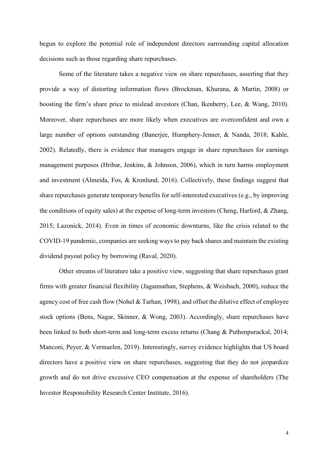begun to explore the potential role of independent directors surrounding capital allocation decisions such as those regarding share repurchases.

Some of the literature takes a negative view on share repurchases, asserting that they provide a way of distorting information flows (Brockman, Khurana, & Martin, 2008) or boosting the firm's share price to mislead investors (Chan, Ikenberry, Lee, & Wang, 2010). Moreover, share repurchases are more likely when executives are overconfident and own a large number of options outstanding (Banerjee, Humphery-Jenner, & Nanda, 2018; Kahle, 2002). Relatedly, there is evidence that managers engage in share repurchases for earnings management purposes (Hribar, Jenkins, & Johnson, 2006), which in turn harms employment and investment (Almeida, Fos, & Kronlund, 2016). Collectively, these findings suggest that share repurchases generate temporary benefits for self-interested executives (e.g., by improving the conditions of equity sales) at the expense of long-term investors (Cheng, Harford, & Zhang, 2015; Lazonick, 2014). Even in times of economic downturns, like the crisis related to the COVID-19 pandemic, companies are seeking ways to pay back shares and maintain the existing dividend payout policy by borrowing (Raval, 2020).

Other streams of literature take a positive view, suggesting that share repurchases grant firms with greater financial flexibility (Jagannathan, Stephens, & Weisbach, 2000), reduce the agency cost of free cash flow (Nohel & Tarhan, 1998), and offset the dilutive effect of employee stock options (Bens, Nagar, Skinner, & Wong, 2003). Accordingly, share repurchases have been linked to both short-term and long-term excess returns (Chang & Puthenpurackal, 2014; Manconi, Peyer, & Vermaelen, 2019). Interestingly, survey evidence highlights that US board directors have a positive view on share repurchases, suggesting that they do not jeopardize growth and do not drive excessive CEO compensation at the expense of shareholders (The Investor Responsibility Research Center Institute, 2016).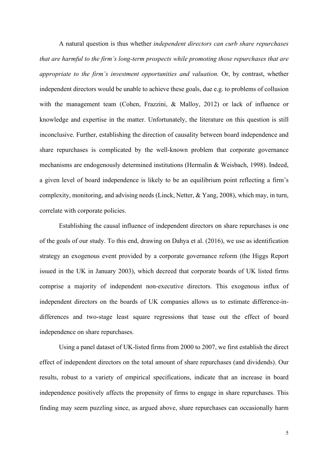A natural question is thus whether *independent directors can curb share repurchases that are harmful to the firm's long-term prospects while promoting those repurchases that are appropriate to the firm's investment opportunities and valuation*. Or, by contrast, whether independent directors would be unable to achieve these goals, due e.g. to problems of collusion with the management team (Cohen, Frazzini, & Malloy, 2012) or lack of influence or knowledge and expertise in the matter. Unfortunately, the literature on this question is still inconclusive. Further, establishing the direction of causality between board independence and share repurchases is complicated by the well-known problem that corporate governance mechanisms are endogenously determined institutions (Hermalin & Weisbach, 1998). Indeed, a given level of board independence is likely to be an equilibrium point reflecting a firm's complexity, monitoring, and advising needs (Linck, Netter, & Yang, 2008), which may, in turn, correlate with corporate policies.

Establishing the causal influence of independent directors on share repurchases is one of the goals of our study. To this end, drawing on Dahya et al. (2016), we use as identification strategy an exogenous event provided by a corporate governance reform (the Higgs Report issued in the UK in January 2003), which decreed that corporate boards of UK listed firms comprise a majority of independent non-executive directors. This exogenous influx of independent directors on the boards of UK companies allows us to estimate difference-indifferences and two-stage least square regressions that tease out the effect of board independence on share repurchases.

Using a panel dataset of UK-listed firms from 2000 to 2007, we first establish the direct effect of independent directors on the total amount of share repurchases (and dividends). Our results, robust to a variety of empirical specifications, indicate that an increase in board independence positively affects the propensity of firms to engage in share repurchases. This finding may seem puzzling since, as argued above, share repurchases can occasionally harm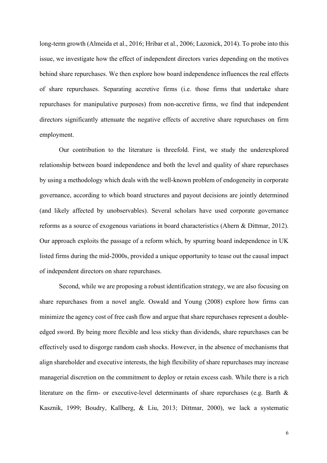long-term growth (Almeida et al., 2016; Hribar et al., 2006; Lazonick, 2014). To probe into this issue, we investigate how the effect of independent directors varies depending on the motives behind share repurchases. We then explore how board independence influences the real effects of share repurchases. Separating accretive firms (i.e. those firms that undertake share repurchases for manipulative purposes) from non-accretive firms, we find that independent directors significantly attenuate the negative effects of accretive share repurchases on firm employment.

Our contribution to the literature is threefold. First, we study the underexplored relationship between board independence and both the level and quality of share repurchases by using a methodology which deals with the well-known problem of endogeneity in corporate governance, according to which board structures and payout decisions are jointly determined (and likely affected by unobservables). Several scholars have used corporate governance reforms as a source of exogenous variations in board characteristics (Ahern & Dittmar, 2012). Our approach exploits the passage of a reform which, by spurring board independence in UK listed firms during the mid-2000s, provided a unique opportunity to tease out the causal impact of independent directors on share repurchases.

Second, while we are proposing a robust identification strategy, we are also focusing on share repurchases from a novel angle. Oswald and Young (2008) explore how firms can minimize the agency cost of free cash flow and argue that share repurchases represent a doubleedged sword. By being more flexible and less sticky than dividends, share repurchases can be effectively used to disgorge random cash shocks. However, in the absence of mechanisms that align shareholder and executive interests, the high flexibility of share repurchases may increase managerial discretion on the commitment to deploy or retain excess cash. While there is a rich literature on the firm- or executive-level determinants of share repurchases (e.g. Barth & Kasznik, 1999; Boudry, Kallberg, & Liu, 2013; Dittmar, 2000), we lack a systematic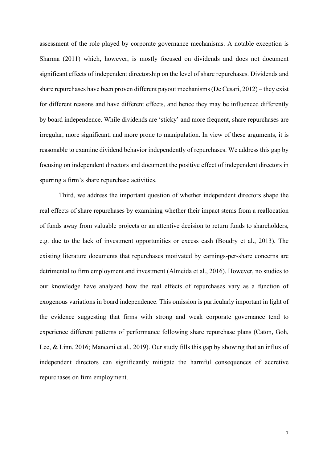assessment of the role played by corporate governance mechanisms. A notable exception is Sharma (2011) which, however, is mostly focused on dividends and does not document significant effects of independent directorship on the level of share repurchases. Dividends and share repurchases have been proven different payout mechanisms (De Cesari, 2012) – they exist for different reasons and have different effects, and hence they may be influenced differently by board independence. While dividends are 'sticky' and more frequent, share repurchases are irregular, more significant, and more prone to manipulation. In view of these arguments, it is reasonable to examine dividend behavior independently of repurchases. We address this gap by focusing on independent directors and document the positive effect of independent directors in spurring a firm's share repurchase activities.

Third, we address the important question of whether independent directors shape the real effects of share repurchases by examining whether their impact stems from a reallocation of funds away from valuable projects or an attentive decision to return funds to shareholders, e.g. due to the lack of investment opportunities or excess cash (Boudry et al., 2013). The existing literature documents that repurchases motivated by earnings-per-share concerns are detrimental to firm employment and investment (Almeida et al., 2016). However, no studies to our knowledge have analyzed how the real effects of repurchases vary as a function of exogenous variations in board independence. This omission is particularly important in light of the evidence suggesting that firms with strong and weak corporate governance tend to experience different patterns of performance following share repurchase plans (Caton, Goh, Lee, & Linn, 2016; Manconi et al., 2019). Our study fills this gap by showing that an influx of independent directors can significantly mitigate the harmful consequences of accretive repurchases on firm employment.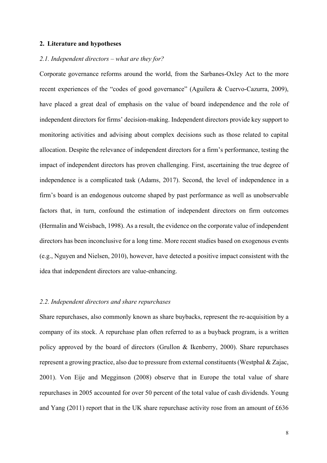#### **2. Literature and hypotheses**

#### *2.1. Independent directors – what are they for?*

Corporate governance reforms around the world, from the Sarbanes-Oxley Act to the more recent experiences of the "codes of good governance" (Aguilera & Cuervo-Cazurra, 2009), have placed a great deal of emphasis on the value of board independence and the role of independent directors for firms' decision-making. Independent directors provide key support to monitoring activities and advising about complex decisions such as those related to capital allocation. Despite the relevance of independent directors for a firm's performance, testing the impact of independent directors has proven challenging. First, ascertaining the true degree of independence is a complicated task (Adams, 2017). Second, the level of independence in a firm's board is an endogenous outcome shaped by past performance as well as unobservable factors that, in turn, confound the estimation of independent directors on firm outcomes (Hermalin and Weisbach, 1998). As a result, the evidence on the corporate value of independent directors has been inconclusive for a long time. More recent studies based on exogenous events (e.g., Nguyen and Nielsen, 2010), however, have detected a positive impact consistent with the idea that independent directors are value-enhancing.

#### *2.2. Independent directors and share repurchases*

Share repurchases, also commonly known as share buybacks, represent the re-acquisition by a company of its stock. A repurchase plan often referred to as a buyback program, is a written policy approved by the board of directors (Grullon & Ikenberry, 2000). Share repurchases represent a growing practice, also due to pressure from external constituents(Westphal & Zajac, 2001). Von Eije and Megginson (2008) observe that in Europe the total value of share repurchases in 2005 accounted for over 50 percent of the total value of cash dividends. Young and Yang (2011) report that in the UK share repurchase activity rose from an amount of £636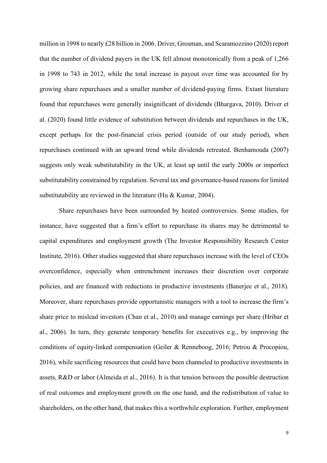million in 1998 to nearly £28 billion in 2006. Driver, Grosman, and Scaramozzino (2020) report that the number of dividend payers in the UK fell almost monotonically from a peak of 1,266 in 1998 to 743 in 2012, while the total increase in payout over time was accounted for by growing share repurchases and a smaller number of dividend-paying firms. Extant literature found that repurchases were generally insignificant of dividends (Bhargava, 2010). Driver et al. (2020) found little evidence of substitution between dividends and repurchases in the UK, except perhaps for the post-financial crisis period (outside of our study period), when repurchases continued with an upward trend while dividends retreated. Benhamouda (2007) suggests only weak substitutability in the UK, at least up until the early 2000s or imperfect substitutability constrained by regulation. Several tax and governance-based reasons for limited substitutability are reviewed in the literature (Hu & Kumar, 2004).

Share repurchases have been surrounded by heated controversies. Some studies, for instance, have suggested that a firm's effort to repurchase its shares may be detrimental to capital expenditures and employment growth (The Investor Responsibility Research Center Institute, 2016). Other studies suggested that share repurchases increase with the level of CEOs overconfidence, especially when entrenchment increases their discretion over corporate policies, and are financed with reductions in productive investments (Banerjee et al., 2018). Moreover, share repurchases provide opportunistic managers with a tool to increase the firm's share price to mislead investors (Chan et al., 2010) and manage earnings per share (Hribar et al., 2006). In turn, they generate temporary benefits for executives e.g., by improving the conditions of equity-linked compensation (Geiler & Renneboog, 2016; Petrou & Procopiou, 2016), while sacrificing resources that could have been channeled to productive investments in assets, R&D or labor (Almeida et al., 2016). It is that tension between the possible destruction of real outcomes and employment growth on the one hand, and the redistribution of value to shareholders, on the other hand, that makes this a worthwhile exploration. Further, employment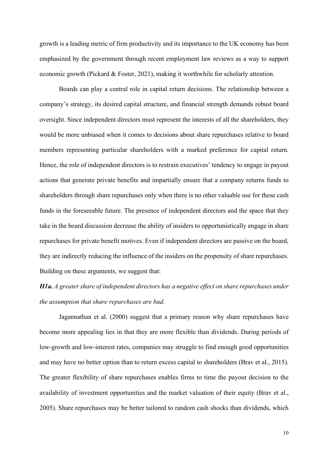growth is a leading metric of firm productivity and its importance to the UK economy has been emphasized by the government through recent employment law reviews as a way to support economic growth (Pickard & Foster, 2021), making it worthwhile for scholarly attention.

Boards can play a central role in capital return decisions. The relationship between a company's strategy, its desired capital structure, and financial strength demands robust board oversight. Since independent directors must represent the interests of all the shareholders, they would be more unbiased when it comes to decisions about share repurchases relative to board members representing particular shareholders with a marked preference for capital return. Hence, the role of independent directors is to restrain executives' tendency to engage in payout actions that generate private benefits and impartially ensure that a company returns funds to shareholders through share repurchases only when there is no other valuable use for these cash funds in the foreseeable future. The presence of independent directors and the space that they take in the board discussion decrease the ability of insiders to opportunistically engage in share repurchases for private benefit motives. Even if independent directors are passive on the board, they are indirectly reducing the influence of the insiders on the propensity of share repurchases. Building on these arguments, we suggest that:

## *H1a. A greater share of independent directors has a negative effect on share repurchases under the assumption that share repurchases are bad.*

Jagannathan et al. (2000) suggest that a primary reason why share repurchases have become more appealing lies in that they are more flexible than dividends. During periods of low-growth and low-interest rates, companies may struggle to find enough good opportunities and may have no better option than to return excess capital to shareholders (Brav et al., 2015). The greater flexibility of share repurchases enables firms to time the payout decision to the availability of investment opportunities and the market valuation of their equity (Brav et al., 2005). Share repurchases may be better tailored to random cash shocks than dividends, which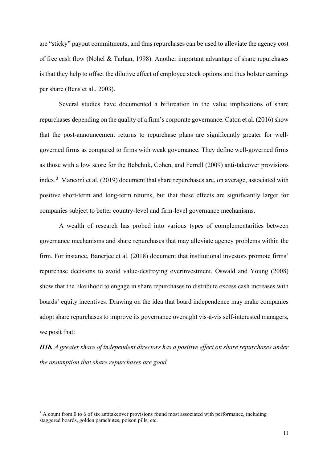are "sticky" payout commitments, and thus repurchases can be used to alleviate the agency cost of free cash flow (Nohel & Tarhan, 1998). Another important advantage of share repurchases is that they help to offset the dilutive effect of employee stock options and thus bolster earnings per share (Bens et al., 2003).

Several studies have documented a bifurcation in the value implications of share repurchases depending on the quality of a firm's corporate governance. Caton et al. (2016) show that the post-announcement returns to repurchase plans are significantly greater for wellgoverned firms as compared to firms with weak governance. They define well-governed firms as those with a low score for the Bebchuk, Cohen, and Ferrell (2009) anti-takeover provisions index.<sup>[3](#page-11-0)</sup> Manconi et al. (2019) document that share repurchases are, on average, associated with positive short-term and long-term returns, but that these effects are significantly larger for companies subject to better country-level and firm-level governance mechanisms.

A wealth of research has probed into various types of complementarities between governance mechanisms and share repurchases that may alleviate agency problems within the firm. For instance, Banerjee et al. (2018) document that institutional investors promote firms' repurchase decisions to avoid value-destroying overinvestment. Oswald and Young (2008) show that the likelihood to engage in share repurchases to distribute excess cash increases with boards' equity incentives. Drawing on the idea that board independence may make companies adopt share repurchases to improve its governance oversight vis-à-vis self-interested managers, we posit that:

*H1b. A greater share of independent directors has a positive effect on share repurchases under the assumption that share repurchases are good.* 

<span id="page-11-0"></span><sup>&</sup>lt;sup>3</sup> A count from 0 to 6 of six antitakeover provisions found most associated with performance, including staggered boards, golden parachutes, poison pills, etc.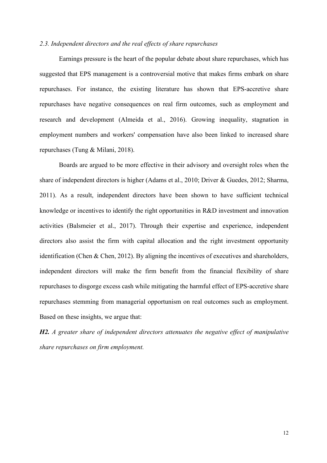#### *2.3. Independent directors and the real effects of share repurchases*

Earnings pressure is the heart of the popular debate about share repurchases, which has suggested that EPS management is a controversial motive that makes firms embark on share repurchases. For instance, the existing literature has shown that EPS-accretive share repurchases have negative consequences on real firm outcomes, such as employment and research and development (Almeida et al., 2016). Growing inequality, stagnation in employment numbers and workers' compensation have also been linked to increased share repurchases (Tung & Milani, 2018).

Boards are argued to be more effective in their advisory and oversight roles when the share of independent directors is higher (Adams et al., 2010; Driver & Guedes, 2012; Sharma, 2011). As a result, independent directors have been shown to have sufficient technical knowledge or incentives to identify the right opportunities in R&D investment and innovation activities (Balsmeier et al., 2017). Through their expertise and experience, independent directors also assist the firm with capital allocation and the right investment opportunity identification (Chen & Chen, 2012). By aligning the incentives of executives and shareholders, independent directors will make the firm benefit from the financial flexibility of share repurchases to disgorge excess cash while mitigating the harmful effect of EPS-accretive share repurchases stemming from managerial opportunism on real outcomes such as employment. Based on these insights, we argue that:

*H2. A greater share of independent directors attenuates the negative effect of manipulative share repurchases on firm employment.*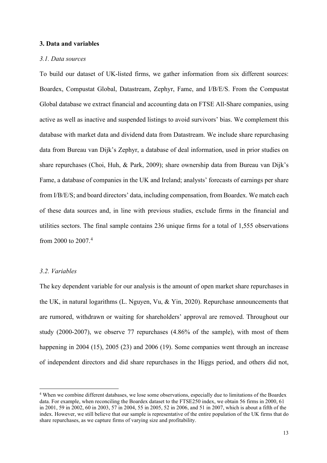#### **3. Data and variables**

#### *3.1. Data sources*

To build our dataset of UK-listed firms, we gather information from six different sources: Boardex, Compustat Global, Datastream, Zephyr, Fame, and I/B/E/S. From the Compustat Global database we extract financial and accounting data on FTSE All-Share companies, using active as well as inactive and suspended listings to avoid survivors' bias. We complement this database with market data and dividend data from Datastream. We include share repurchasing data from Bureau van Dijk's Zephyr, a database of deal information, used in prior studies on share repurchases (Choi, Huh, & Park, 2009); share ownership data from Bureau van Dijk's Fame, a database of companies in the UK and Ireland; analysts' forecasts of earnings per share from I/B/E/S; and board directors' data, including compensation, from Boardex. We match each of these data sources and, in line with previous studies, exclude firms in the financial and utilities sectors. The final sample contains 236 unique firms for a total of 1,555 observations from 2000 to 2007.[4](#page-13-0)

#### *3.2. Variables*

The key dependent variable for our analysis is the amount of open market share repurchases in the UK, in natural logarithms (L. Nguyen, Vu, & Yin, 2020). Repurchase announcements that are rumored, withdrawn or waiting for shareholders' approval are removed. Throughout our study (2000-2007), we observe 77 repurchases (4.86% of the sample), with most of them happening in 2004 (15), 2005 (23) and 2006 (19). Some companies went through an increase of independent directors and did share repurchases in the Higgs period, and others did not,

<span id="page-13-0"></span><sup>4</sup> When we combine different databases, we lose some observations, especially due to limitations of the Boardex data. For example, when reconciling the Boardex dataset to the FTSE250 index, we obtain 56 firms in 2000, 61 in 2001, 59 in 2002, 60 in 2003, 57 in 2004, 55 in 2005, 52 in 2006, and 51 in 2007, which is about a fifth of the index. However, we still believe that our sample is representative of the entire population of the UK firms that do share repurchases, as we capture firms of varying size and profitability.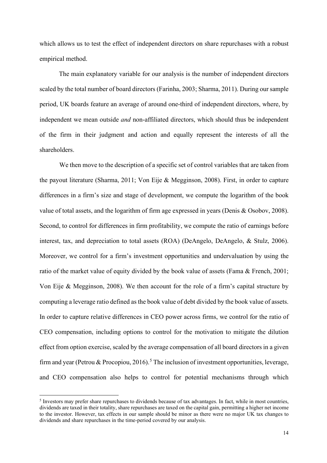which allows us to test the effect of independent directors on share repurchases with a robust empirical method.

The main explanatory variable for our analysis is the number of independent directors scaled by the total number of board directors (Farinha, 2003; Sharma, 2011). During our sample period, UK boards feature an average of around one-third of independent directors, where, by independent we mean outside *and* non-affiliated directors, which should thus be independent of the firm in their judgment and action and equally represent the interests of all the shareholders.

We then move to the description of a specific set of control variables that are taken from the payout literature (Sharma, 2011; Von Eije & Megginson, 2008). First, in order to capture differences in a firm's size and stage of development, we compute the logarithm of the book value of total assets, and the logarithm of firm age expressed in years (Denis & Osobov, 2008). Second, to control for differences in firm profitability, we compute the ratio of earnings before interest, tax, and depreciation to total assets (ROA) (DeAngelo, DeAngelo, & Stulz, 2006). Moreover, we control for a firm's investment opportunities and undervaluation by using the ratio of the market value of equity divided by the book value of assets (Fama & French, 2001; Von Eije & Megginson, 2008). We then account for the role of a firm's capital structure by computing a leverage ratio defined as the book value of debt divided by the book value of assets. In order to capture relative differences in CEO power across firms, we control for the ratio of CEO compensation, including options to control for the motivation to mitigate the dilution effect from option exercise, scaled by the average compensation of all board directors in a given firm and year (Petrou & Procopiou, 2016).<sup>[5](#page-14-0)</sup> The inclusion of investment opportunities, leverage, and CEO compensation also helps to control for potential mechanisms through which

<span id="page-14-0"></span><sup>&</sup>lt;sup>5</sup> Investors may prefer share repurchases to dividends because of tax advantages. In fact, while in most countries, dividends are taxed in their totality, share repurchases are taxed on the capital gain, permitting a higher net income to the investor. However, tax effects in our sample should be minor as there were no major UK tax changes to dividends and share repurchases in the time-period covered by our analysis.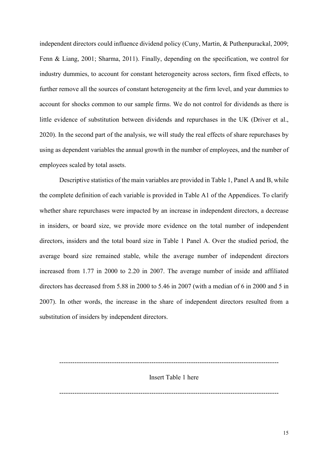independent directors could influence dividend policy (Cuny, Martin, & Puthenpurackal, 2009; Fenn & Liang, 2001; Sharma, 2011). Finally, depending on the specification, we control for industry dummies, to account for constant heterogeneity across sectors, firm fixed effects, to further remove all the sources of constant heterogeneity at the firm level, and year dummies to account for shocks common to our sample firms. We do not control for dividends as there is little evidence of substitution between dividends and repurchases in the UK (Driver et al., 2020). In the second part of the analysis, we will study the real effects of share repurchases by using as dependent variables the annual growth in the number of employees, and the number of employees scaled by total assets.

Descriptive statistics of the main variables are provided in Table 1, Panel A and B, while the complete definition of each variable is provided in Table A1 of the Appendices. To clarify whether share repurchases were impacted by an increase in independent directors, a decrease in insiders, or board size, we provide more evidence on the total number of independent directors, insiders and the total board size in Table 1 Panel A. Over the studied period, the average board size remained stable, while the average number of independent directors increased from 1.77 in 2000 to 2.20 in 2007. The average number of inside and affiliated directors has decreased from 5.88 in 2000 to 5.46 in 2007 (with a median of 6 in 2000 and 5 in 2007). In other words, the increase in the share of independent directors resulted from a substitution of insiders by independent directors.

---------------------------------------------------------------------------------------------------- Insert Table 1 here ----------------------------------------------------------------------------------------------------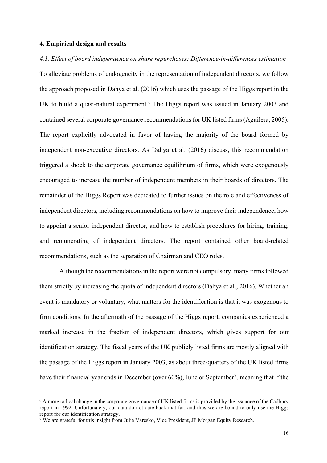#### **4. Empirical design and results**

*4.1. Effect of board independence on share repurchases: Difference-in-differences estimation*  To alleviate problems of endogeneity in the representation of independent directors, we follow the approach proposed in Dahya et al. (2016) which uses the passage of the Higgs report in the UK to build a quasi-natural experiment.<sup>[6](#page-16-0)</sup> The Higgs report was issued in January 2003 and contained several corporate governance recommendations for UK listed firms (Aguilera, 2005). The report explicitly advocated in favor of having the majority of the board formed by independent non-executive directors. As Dahya et al. (2016) discuss, this recommendation triggered a shock to the corporate governance equilibrium of firms, which were exogenously encouraged to increase the number of independent members in their boards of directors. The remainder of the Higgs Report was dedicated to further issues on the role and effectiveness of independent directors, including recommendations on how to improve their independence, how to appoint a senior independent director, and how to establish procedures for hiring, training, and remunerating of independent directors. The report contained other board-related recommendations, such as the separation of Chairman and CEO roles.

Although the recommendations in the report were not compulsory, many firms followed them strictly by increasing the quota of independent directors (Dahya et al., 2016). Whether an event is mandatory or voluntary, what matters for the identification is that it was exogenous to firm conditions. In the aftermath of the passage of the Higgs report, companies experienced a marked increase in the fraction of independent directors, which gives support for our identification strategy. The fiscal years of the UK publicly listed firms are mostly aligned with the passage of the Higgs report in January 2003, as about three-quarters of the UK listed firms have their financial year ends in December (over  $60\%$ ), June or September<sup>[7](#page-16-1)</sup>, meaning that if the

<span id="page-16-0"></span><sup>&</sup>lt;sup>6</sup> A more radical change in the corporate governance of UK listed firms is provided by the issuance of the Cadbury report in 1992. Unfortunately, our data do not date back that far, and thus we are bound to only use the Higgs report for our identification strategy.

<span id="page-16-1"></span><sup>7</sup> We are grateful for this insight from Julia Varesko, Vice President, JP Morgan Equity Research.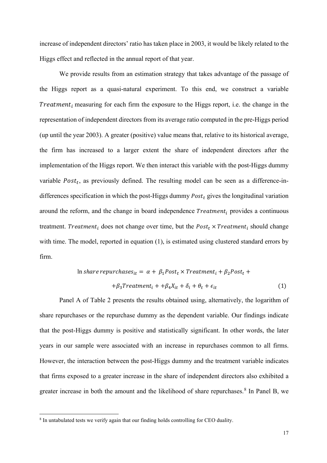increase of independent directors' ratio has taken place in 2003, it would be likely related to the Higgs effect and reflected in the annual report of that year.

We provide results from an estimation strategy that takes advantage of the passage of the Higgs report as a quasi-natural experiment. To this end, we construct a variable Treatment<sub>i</sub> measuring for each firm the exposure to the Higgs report, i.e. the change in the representation of independent directors from its average ratio computed in the pre-Higgs period (up until the year 2003). A greater (positive) value means that, relative to its historical average, the firm has increased to a larger extent the share of independent directors after the implementation of the Higgs report. We then interact this variable with the post-Higgs dummy variable  $Post<sub>t</sub>$ , as previously defined. The resulting model can be seen as a difference-indifferences specification in which the post-Higgs dummy  $Post<sub>t</sub>$  gives the longitudinal variation around the reform, and the change in board independence  $Treatment<sub>i</sub>$  provides a continuous treatment. Treatment<sub>i</sub> does not change over time, but the  $Post_t \times Treatment_i$  should change with time. The model, reported in equation (1), is estimated using clustered standard errors by firm.

$$
\ln share\,repurchases_{it} = \alpha + \beta_1 Post_t \times Treatment_i + \beta_2 Post_t ++ \beta_3 Treatment_i + + \beta_4 X_{it} + \delta_i + \theta_t + \epsilon_{it}
$$
\n(1)

Panel A of Table 2 presents the results obtained using, alternatively, the logarithm of share repurchases or the repurchase dummy as the dependent variable. Our findings indicate that the post-Higgs dummy is positive and statistically significant. In other words, the later years in our sample were associated with an increase in repurchases common to all firms. However, the interaction between the post-Higgs dummy and the treatment variable indicates that firms exposed to a greater increase in the share of independent directors also exhibited a greater increase in both the amount and the likelihood of share repurchases.<sup>[8](#page-17-0)</sup> In Panel B, we

<span id="page-17-0"></span><sup>&</sup>lt;sup>8</sup> In untabulated tests we verify again that our finding holds controlling for CEO duality.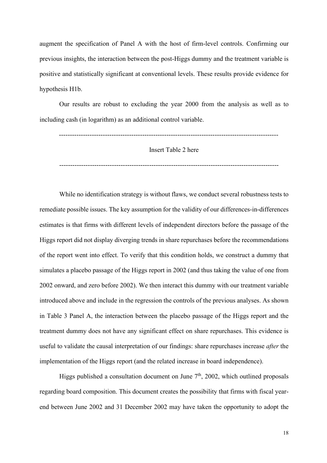augment the specification of Panel A with the host of firm-level controls. Confirming our previous insights, the interaction between the post-Higgs dummy and the treatment variable is positive and statistically significant at conventional levels. These results provide evidence for hypothesis H1b.

Our results are robust to excluding the year 2000 from the analysis as well as to including cash (in logarithm) as an additional control variable.

---------------------------------------------------------------------------------------------------- Insert Table 2 here

----------------------------------------------------------------------------------------------------

While no identification strategy is without flaws, we conduct several robustness tests to remediate possible issues. The key assumption for the validity of our differences-in-differences estimates is that firms with different levels of independent directors before the passage of the Higgs report did not display diverging trends in share repurchases before the recommendations of the report went into effect. To verify that this condition holds, we construct a dummy that simulates a placebo passage of the Higgs report in 2002 (and thus taking the value of one from 2002 onward, and zero before 2002). We then interact this dummy with our treatment variable introduced above and include in the regression the controls of the previous analyses. As shown in Table 3 Panel A, the interaction between the placebo passage of the Higgs report and the treatment dummy does not have any significant effect on share repurchases. This evidence is useful to validate the causal interpretation of our findings: share repurchases increase *after* the implementation of the Higgs report (and the related increase in board independence).

Higgs published a consultation document on June  $7<sup>th</sup>$ , 2002, which outlined proposals regarding board composition. This document creates the possibility that firms with fiscal yearend between June 2002 and 31 December 2002 may have taken the opportunity to adopt the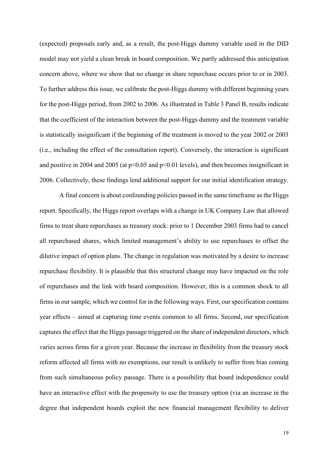(expected) proposals early and, as a result, the post-Higgs dummy variable used in the DID model may not yield a clean break in board composition. We partly addressed this anticipation concern above, where we show that no change in share repurchase occurs prior to or in 2003. To further address this issue, we calibrate the post-Higgs dummy with different beginning years for the post-Higgs period, from 2002 to 2006. As illustrated in Table 3 Panel B, results indicate that the coefficient of the interaction between the post-Higgs dummy and the treatment variable is statistically insignificant if the beginning of the treatment is moved to the year 2002 or 2003 (i.e., including the effect of the consultation report). Conversely, the interaction is significant and positive in 2004 and 2005 (at  $p<0.05$  and  $p<0.01$  levels), and then becomes insignificant in 2006. Collectively, these findings lend additional support for our initial identification strategy.

A final concern is about confounding policies passed in the same timeframe as the Higgs report. Specifically, the Higgs report overlaps with a change in UK Company Law that allowed firms to treat share repurchases as treasury stock: prior to 1 December 2003 firms had to cancel all repurchased shares, which limited management's ability to use repurchases to offset the dilutive impact of option plans. The change in regulation was motivated by a desire to increase repurchase flexibility. It is plausible that this structural change may have impacted on the role of repurchases and the link with board composition. However, this is a common shock to all firms in our sample, which we control for in the following ways. First, our specification contains year effects – aimed at capturing time events common to all firms. Second, our specification captures the effect that the Higgs passage triggered on the share of independent directors, which varies across firms for a given year. Because the increase in flexibility from the treasury stock reform affected all firms with no exemptions, our result is unlikely to suffer from bias coming from such simultaneous policy passage. There is a possibility that board independence could have an interactive effect with the propensity to use the treasury option (via an increase in the degree that independent boards exploit the new financial management flexibility to deliver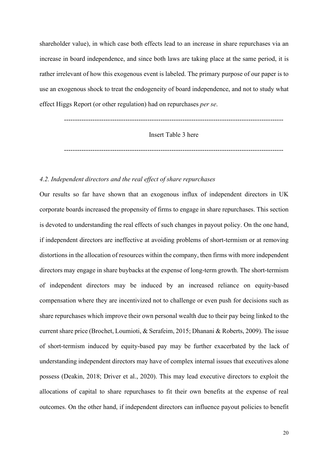shareholder value), in which case both effects lead to an increase in share repurchases via an increase in board independence, and since both laws are taking place at the same period, it is rather irrelevant of how this exogenous event is labeled. The primary purpose of our paper is to use an exogenous shock to treat the endogeneity of board independence, and not to study what effect Higgs Report (or other regulation) had on repurchases *per se*.

----------------------------------------------------------------------------------------------------

Insert Table 3 here

----------------------------------------------------------------------------------------------------

#### *4.2. Independent directors and the real effect of share repurchases*

Our results so far have shown that an exogenous influx of independent directors in UK corporate boards increased the propensity of firms to engage in share repurchases. This section is devoted to understanding the real effects of such changes in payout policy. On the one hand, if independent directors are ineffective at avoiding problems of short-termism or at removing distortions in the allocation of resources within the company, then firms with more independent directors may engage in share buybacks at the expense of long-term growth. The short-termism of independent directors may be induced by an increased reliance on equity-based compensation where they are incentivized not to challenge or even push for decisions such as share repurchases which improve their own personal wealth due to their pay being linked to the current share price (Brochet, Loumioti, & Serafeim, 2015; Dhanani & Roberts, 2009). The issue of short-termism induced by equity-based pay may be further exacerbated by the lack of understanding independent directors may have of complex internal issues that executives alone possess (Deakin, 2018; Driver et al., 2020). This may lead executive directors to exploit the allocations of capital to share repurchases to fit their own benefits at the expense of real outcomes. On the other hand, if independent directors can influence payout policies to benefit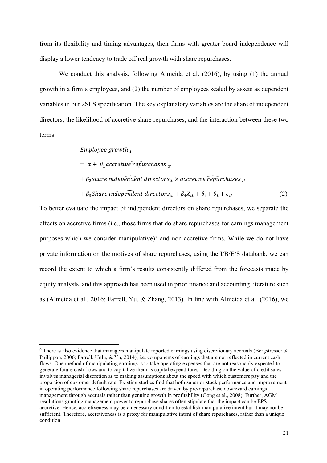from its flexibility and timing advantages, then firms with greater board independence will display a lower tendency to trade off real growth with share repurchases.

We conduct this analysis, following Almeida et al. (2016), by using (1) the annual growth in a firm's employees, and (2) the number of employees scaled by assets as dependent variables in our 2SLS specification. The key explanatory variables are the share of independent directors, the likelihood of accretive share repurchases, and the interaction between these two terms.

Employee growth<sub>it</sub>

 $= \alpha + \beta_1$  accretive repurchases <sub>it</sub>

 $+ \beta_2$ share independent directors<sub>it</sub>  $\times$  accretive repurchases  $\mu$ 

$$
+\beta_3Share\ independent\ director_{st} + \beta_4X_{it} + \delta_i + \theta_t + \epsilon_{it}
$$
\n(2)

To better evaluate the impact of independent directors on share repurchases, we separate the effects on accretive firms (i.e., those firms that do share repurchases for earnings management purposes which we consider manipulative) $9$  and non-accretive firms. While we do not have private information on the motives of share repurchases, using the I/B/E/S databank, we can record the extent to which a firm's results consistently differed from the forecasts made by equity analysts, and this approach has been used in prior finance and accounting literature such as (Almeida et al., 2016; Farrell, Yu, & Zhang, 2013). In line with Almeida et al. (2016), we

<span id="page-21-0"></span><sup>&</sup>lt;sup>9</sup> There is also evidence that managers manipulate reported earnings using discretionary accruals (Bergstresser & Philippon, 2006; Farrell, Unlu, & Yu, 2014), i.e. components of earnings that are not reflected in current cash flows. One method of manipulating earnings is to take operating expenses that are not reasonably expected to generate future cash flows and to capitalize them as capital expenditures. Deciding on the value of credit sales involves managerial discretion as to making assumptions about the speed with which customers pay and the proportion of customer default rate. Existing studies find that both superior stock performance and improvement in operating performance following share repurchases are driven by pre-repurchase downward earnings management through accruals rather than genuine growth in profitability (Gong et al., 2008). Further, AGM resolutions granting management power to repurchase shares often stipulate that the impact can be EPS accretive. Hence, accretiveness may be a necessary condition to establish manipulative intent but it may not be sufficient. Therefore, accretiveness is a proxy for manipulative intent of share repurchases, rather than a unique condition.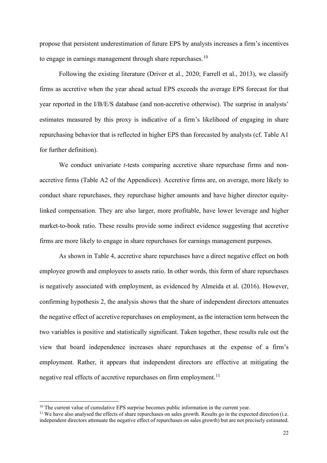propose that persistent underestimation of future EPS by analysts increases a firm's incentives to engage in earnings management through share repurchases.<sup>[10](#page-22-0)</sup>

Following the existing literature (Driver et al., 2020; Farrell et al., 2013), we classify firms as accretive when the year ahead actual EPS exceeds the average EPS forecast for that year reported in the I/B/E/S database (and non-accretive otherwise). The surprise in analysts' estimates measured by this proxy is indicative of a firm's likelihood of engaging in share repurchasing behavior that is reflected in higher EPS than forecasted by analysts (cf. Table A1 for further definition).

We conduct univariate *t*-tests comparing accretive share repurchase firms and nonaccretive firms (Table A2 of the Appendices). Accretive firms are, on average, more likely to conduct share repurchases, they repurchase higher amounts and have higher director equitylinked compensation. They are also larger, more profitable, have lower leverage and higher market-to-book ratio. These results provide some indirect evidence suggesting that accretive firms are more likely to engage in share repurchases for earnings management purposes.

As shown in Table 4, accretive share repurchases have a direct negative effect on both employee growth and employees to assets ratio. In other words, this form of share repurchases is negatively associated with employment, as evidenced by Almeida et al. (2016). However, confirming hypothesis 2, the analysis shows that the share of independent directors attenuates the negative effect of accretive repurchases on employment, as the interaction term between the two variables is positive and statistically significant. Taken together, these results rule out the view that board independence increases share repurchases at the expense of a firm's employment. Rather, it appears that independent directors are effective at mitigating the negative real effects of accretive repurchases on firm employment.<sup>[11](#page-22-1)</sup>

<span id="page-22-0"></span> $10$  The current value of cumulative EPS surprise becomes public information in the current year.

<span id="page-22-1"></span><sup>&</sup>lt;sup>11</sup> We have also analysed the effects of share repurchases on sales growth. Results go in the expected direction (i.e. independent directors attenuate the negative effect of repurchases on sales growth) but are not precisely estimated.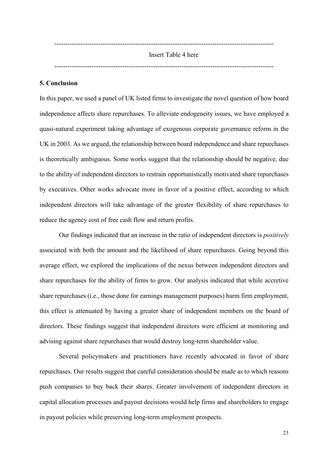---------------------------------------------------------------------------------------------------- Insert Table 4 here ----------------------------------------------------------------------------------------------------

#### **5. Conclusion**

In this paper, we used a panel of UK listed firms to investigate the novel question of how board independence affects share repurchases. To alleviate endogeneity issues, we have employed a quasi-natural experiment taking advantage of exogenous corporate governance reform in the UK in 2003. As we argued, the relationship between board independence and share repurchases is theoretically ambiguous. Some works suggest that the relationship should be negative, due to the ability of independent directors to restrain opportunistically motivated share repurchases by executives. Other works advocate more in favor of a positive effect, according to which independent directors will take advantage of the greater flexibility of share repurchases to reduce the agency cost of free cash flow and return profits.

Our findings indicated that an increase in the ratio of independent directors is *positively* associated with both the amount and the likelihood of share repurchases. Going beyond this average effect, we explored the implications of the nexus between independent directors and share repurchases for the ability of firms to grow. Our analysis indicated that while accretive share repurchases (i.e., those done for earnings management purposes) harm firm employment, this effect is attenuated by having a greater share of independent members on the board of directors. These findings suggest that independent directors were efficient at monitoring and advising against share repurchases that would destroy long-term shareholder value.

Several policymakers and practitioners have recently advocated in favor of share repurchases. Our results suggest that careful consideration should be made as to which reasons push companies to buy back their shares. Greater involvement of independent directors in capital allocation processes and payout decisions would help firms and shareholders to engage in payout policies while preserving long-term employment prospects.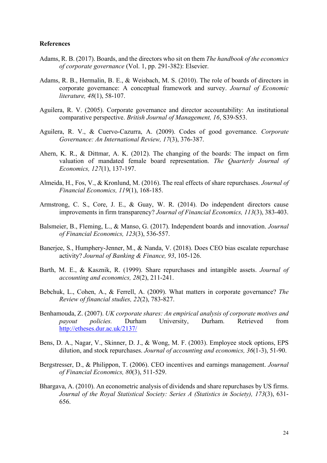#### **References**

- Adams, R. B. (2017). Boards, and the directors who sit on them *The handbook of the economics of corporate governance* (Vol. 1, pp. 291-382): Elsevier.
- Adams, R. B., Hermalin, B. E., & Weisbach, M. S. (2010). The role of boards of directors in corporate governance: A conceptual framework and survey. *Journal of Economic literature, 48*(1), 58-107.
- Aguilera, R. V. (2005). Corporate governance and director accountability: An institutional comparative perspective. *British Journal of Management, 16*, S39-S53.
- Aguilera, R. V., & Cuervo‐Cazurra, A. (2009). Codes of good governance. *Corporate Governance: An International Review, 17*(3), 376-387.
- Ahern, K. R., & Dittmar, A. K. (2012). The changing of the boards: The impact on firm valuation of mandated female board representation. *The Quarterly Journal of Economics, 127*(1), 137-197.
- Almeida, H., Fos, V., & Kronlund, M. (2016). The real effects of share repurchases. *Journal of Financial Economics, 119*(1), 168-185.
- Armstrong, C. S., Core, J. E., & Guay, W. R. (2014). Do independent directors cause improvements in firm transparency? *Journal of Financial Economics, 113*(3), 383-403.
- Balsmeier, B., Fleming, L., & Manso, G. (2017). Independent boards and innovation. *Journal of Financial Economics, 123*(3), 536-557.
- Banerjee, S., Humphery-Jenner, M., & Nanda, V. (2018). Does CEO bias escalate repurchase activity? *Journal of Banking & Finance, 93*, 105-126.
- Barth, M. E., & Kasznik, R. (1999). Share repurchases and intangible assets. *Journal of accounting and economics, 28*(2), 211-241.
- Bebchuk, L., Cohen, A., & Ferrell, A. (2009). What matters in corporate governance? *The Review of financial studies, 22*(2), 783-827.
- Benhamouda, Z. (2007). *UK corporate shares: An empirical analysis of corporate motives and payout policies.* Durham University, Durham. Retrieved from http://etheses.dur.ac.uk/2137/
- Bens, D. A., Nagar, V., Skinner, D. J., & Wong, M. F. (2003). Employee stock options, EPS dilution, and stock repurchases. *Journal of accounting and economics, 36*(1-3), 51-90.
- Bergstresser, D., & Philippon, T. (2006). CEO incentives and earnings management. *Journal of Financial Economics, 80*(3), 511-529.
- Bhargava, A. (2010). An econometric analysis of dividends and share repurchases by US firms. *Journal of the Royal Statistical Society: Series A (Statistics in Society), 173*(3), 631- 656.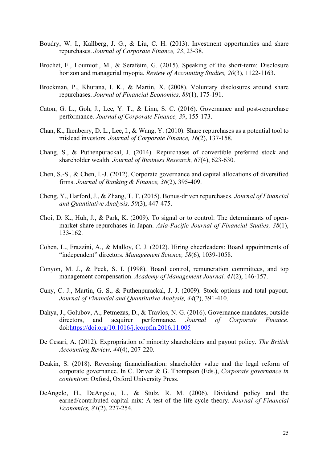- Boudry, W. I., Kallberg, J. G., & Liu, C. H. (2013). Investment opportunities and share repurchases. *Journal of Corporate Finance, 23*, 23-38.
- Brochet, F., Loumioti, M., & Serafeim, G. (2015). Speaking of the short-term: Disclosure horizon and managerial myopia. *Review of Accounting Studies, 20*(3), 1122-1163.
- Brockman, P., Khurana, I. K., & Martin, X. (2008). Voluntary disclosures around share repurchases. *Journal of Financial Economics, 89*(1), 175-191.
- Caton, G. L., Goh, J., Lee, Y. T., & Linn, S. C. (2016). Governance and post-repurchase performance. *Journal of Corporate Finance, 39*, 155-173.
- Chan, K., Ikenberry, D. L., Lee, I., & Wang, Y. (2010). Share repurchases as a potential tool to mislead investors. *Journal of Corporate Finance, 16*(2), 137-158.
- Chang, S., & Puthenpurackal, J. (2014). Repurchases of convertible preferred stock and shareholder wealth. *Journal of Business Research, 67*(4), 623-630.
- Chen, S.-S., & Chen, I.-J. (2012). Corporate governance and capital allocations of diversified firms. *Journal of Banking & Finance, 36*(2), 395-409.
- Cheng, Y., Harford, J., & Zhang, T. T. (2015). Bonus-driven repurchases. *Journal of Financial and Quantitative Analysis, 50*(3), 447-475.
- Choi, D. K., Huh, J., & Park, K. (2009). To signal or to control: The determinants of open‐ market share repurchases in Japan. *Asia‐Pacific Journal of Financial Studies, 38*(1), 133-162.
- Cohen, L., Frazzini, A., & Malloy, C. J. (2012). Hiring cheerleaders: Board appointments of "independent" directors. *Management Science, 58*(6), 1039-1058.
- Conyon, M. J., & Peck, S. I. (1998). Board control, remuneration committees, and top management compensation. *Academy of Management Journal, 41*(2), 146-157.
- Cuny, C. J., Martin, G. S., & Puthenpurackal, J. J. (2009). Stock options and total payout. *Journal of Financial and Quantitative Analysis, 44*(2), 391-410.
- Dahya, J., Golubov, A., Petmezas, D., & Travlos, N. G. (2016). Governance mandates, outside directors, and acquirer performance. *Journal of Corporate Finance*. doi:https://doi.org/10.1016/j.jcorpfin.2016.11.005
- De Cesari, A. (2012). Expropriation of minority shareholders and payout policy. *The British Accounting Review, 44*(4), 207-220.
- Deakin, S. (2018). Reversing financialisation: shareholder value and the legal reform of corporate governance. In C. Driver & G. Thompson (Eds.), *Corporate governance in contention*: Oxford, Oxford University Press.
- DeAngelo, H., DeAngelo, L., & Stulz, R. M. (2006). Dividend policy and the earned/contributed capital mix: A test of the life-cycle theory. *Journal of Financial Economics, 81*(2), 227-254.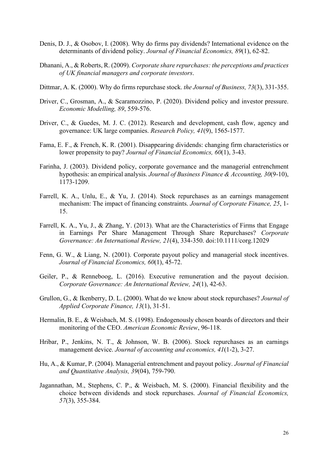- Denis, D. J., & Osobov, I. (2008). Why do firms pay dividends? International evidence on the determinants of dividend policy. *Journal of Financial Economics, 89*(1), 62-82.
- Dhanani, A., & Roberts, R. (2009). *Corporate share repurchases: the perceptions and practices of UK financial managers and corporate investors*.
- Dittmar, A. K. (2000). Why do firms repurchase stock. *the Journal of Business, 73*(3), 331-355.
- Driver, C., Grosman, A., & Scaramozzino, P. (2020). Dividend policy and investor pressure. *Economic Modelling, 89*, 559-576.
- Driver, C., & Guedes, M. J. C. (2012). Research and development, cash flow, agency and governance: UK large companies. *Research Policy, 41*(9), 1565-1577.
- Fama, E. F., & French, K. R. (2001). Disappearing dividends: changing firm characteristics or lower propensity to pay? *Journal of Financial Economics, 60*(1), 3-43.
- Farinha, J. (2003). Dividend policy, corporate governance and the managerial entrenchment hypothesis: an empirical analysis. *Journal of Business Finance & Accounting, 30*(9‐10), 1173-1209.
- Farrell, K. A., Unlu, E., & Yu, J. (2014). Stock repurchases as an earnings management mechanism: The impact of financing constraints. *Journal of Corporate Finance, 25*, 1- 15.
- Farrell, K. A., Yu, J., & Zhang, Y. (2013). What are the Characteristics of Firms that Engage in Earnings Per Share Management Through Share Repurchases? *Corporate Governance: An International Review, 21*(4), 334-350. doi:10.1111/corg.12029
- Fenn, G. W., & Liang, N. (2001). Corporate payout policy and managerial stock incentives. *Journal of Financial Economics, 60*(1), 45-72.
- Geiler, P., & Renneboog, L. (2016). Executive remuneration and the payout decision. *Corporate Governance: An International Review, 24*(1), 42-63.
- Grullon, G., & Ikenberry, D. L. (2000). What do we know about stock repurchases? *Journal of Applied Corporate Finance, 13*(1), 31-51.
- Hermalin, B. E., & Weisbach, M. S. (1998). Endogenously chosen boards of directors and their monitoring of the CEO. *American Economic Review*, 96-118.
- Hribar, P., Jenkins, N. T., & Johnson, W. B. (2006). Stock repurchases as an earnings management device. *Journal of accounting and economics, 41*(1-2), 3-27.
- Hu, A., & Kumar, P. (2004). Managerial entrenchment and payout policy. *Journal of Financial and Quantitative Analysis, 39*(04), 759-790.
- Jagannathan, M., Stephens, C. P., & Weisbach, M. S. (2000). Financial flexibility and the choice between dividends and stock repurchases. *Journal of Financial Economics, 57*(3), 355-384.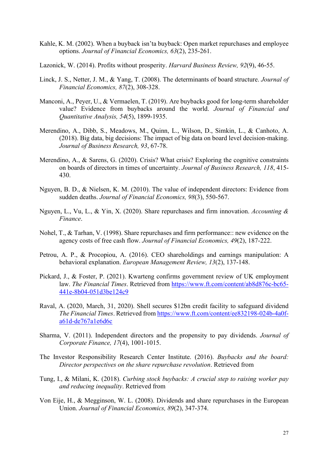- Kahle, K. M. (2002). When a buyback isn'ta buyback: Open market repurchases and employee options. *Journal of Financial Economics, 63*(2), 235-261.
- Lazonick, W. (2014). Profits without prosperity. *Harvard Business Review, 92*(9), 46-55.
- Linck, J. S., Netter, J. M., & Yang, T. (2008). The determinants of board structure. *Journal of Financial Economics, 87*(2), 308-328.
- Manconi, A., Peyer, U., & Vermaelen, T. (2019). Are buybacks good for long-term shareholder value? Evidence from buybacks around the world. *Journal of Financial and Quantitative Analysis, 54*(5), 1899-1935.
- Merendino, A., Dibb, S., Meadows, M., Quinn, L., Wilson, D., Simkin, L., & Canhoto, A. (2018). Big data, big decisions: The impact of big data on board level decision-making. *Journal of Business Research, 93*, 67-78.
- Merendino, A., & Sarens, G. (2020). Crisis? What crisis? Exploring the cognitive constraints on boards of directors in times of uncertainty. *Journal of Business Research, 118*, 415- 430.
- Nguyen, B. D., & Nielsen, K. M. (2010). The value of independent directors: Evidence from sudden deaths. *Journal of Financial Economics, 98*(3), 550-567.
- Nguyen, L., Vu, L., & Yin, X. (2020). Share repurchases and firm innovation. *Accounting & Finance*.
- Nohel, T., & Tarhan, V. (1998). Share repurchases and firm performance:: new evidence on the agency costs of free cash flow. *Journal of Financial Economics, 49*(2), 187-222.
- Petrou, A. P., & Procopiou, A. (2016). CEO shareholdings and earnings manipulation: A behavioral explanation. *European Management Review, 13*(2), 137-148.
- Pickard, J., & Foster, P. (2021). Kwarteng confirms government review of UK employment law. *The Financial Times*. Retrieved from https://www.ft.com/content/ab8d876c-bc65- 441e-8b04-051d3be124c9
- Raval, A. (2020, March, 31, 2020). Shell secures \$12bn credit facility to safeguard dividend *The Financial Times*. Retrieved from https://www.ft.com/content/ee832198-024b-4a0fa61d-de767a1e6d6c
- Sharma, V. (2011). Independent directors and the propensity to pay dividends. *Journal of Corporate Finance, 17*(4), 1001-1015.
- The Investor Responsibility Research Center Institute. (2016). *Buybacks and the board: Director perspectives on the share repurchase revolution*. Retrieved from
- Tung, I., & Milani, K. (2018). *Curbing stock buybacks: A crucial step to raising worker pay and reducing inequality*. Retrieved from
- Von Eije, H., & Megginson, W. L. (2008). Dividends and share repurchases in the European Union. *Journal of Financial Economics, 89*(2), 347-374.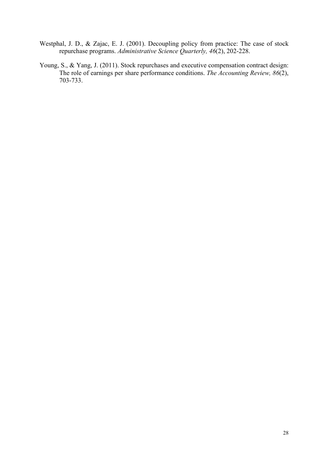- Westphal, J. D., & Zajac, E. J. (2001). Decoupling policy from practice: The case of stock repurchase programs. *Administrative Science Quarterly, 46*(2), 202-228.
- Young, S., & Yang, J. (2011). Stock repurchases and executive compensation contract design: The role of earnings per share performance conditions. *The Accounting Review, 86*(2), 703-733.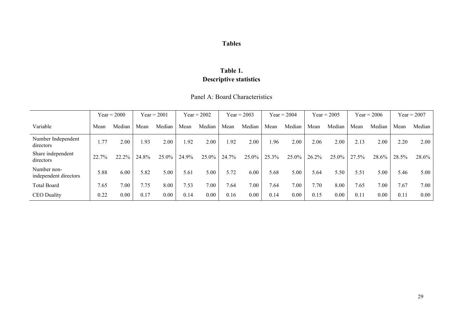## **Tables**

## **Table 1. Descriptive statistics**

#### Panel A: Board Characteristics

|                                      |       | $Year = 2000$ |       | $Year = 2001$ |       | $Year = 2002$ |       | $Year = 2003$ |       | $Year = 2004$ |       | $Year = 2005$ |       | $Year = 2006$ |       | $Year = 2007$ |
|--------------------------------------|-------|---------------|-------|---------------|-------|---------------|-------|---------------|-------|---------------|-------|---------------|-------|---------------|-------|---------------|
| Variable                             | Mean  | Median        | Mean  | Median        | Mean  | Median        | Mean  | Median        | Mean  | Median        | Mean  | Median        | Mean  | Median        | Mean  | Median        |
| Number Independent<br>directors      | 1.77  | 2.00          | 1.93  | 2.00          | 1.92  | 2.00          | 1.92  | 2.00          | 1.96  | 2.00          | 2.06  | 2.00          | 2.13  | 2.00          | 2.20  | 2.00          |
| Share independent<br>directors       | 22.7% | 22.2%         | 24.8% | 25.0%         | 24.9% | 25.0%         | 24.7% | 25.0%         | 25.3% | 25.0%         | 26.2% | 25.0%         | 27.5% | 28.6%         | 28.5% | 28.6%         |
| Number non-<br>independent directors | 5.88  | 6.00          | 5.82  | 5.00          | 5.61  | 5.00          | 5.72  | 6.00          | 5.68  | 5.00          | 5.64  | 5.50          | 5.51  | 5.00          | 5.46  | 5.00          |
| <b>Total Board</b>                   | 7.65  | 7.00          | 7.75  | 8.00          | 7.53  | 7.00          | 1.64  | 7.00          | 7.64  | 7.00          | 7.70  | 8.00          | 7.65  | 7.00          | 7.67  | 7.00          |
| <b>CEO</b> Duality                   | 0.22  | 0.00          | 0.17  | 0.00          | 0.14  | 0.00          | 0.16  | 0.00          | 0.14  | $0.00\,$      | 0.15  | $0.00\,$      | 0.11  | 0.00          | 0.11  | 0.00          |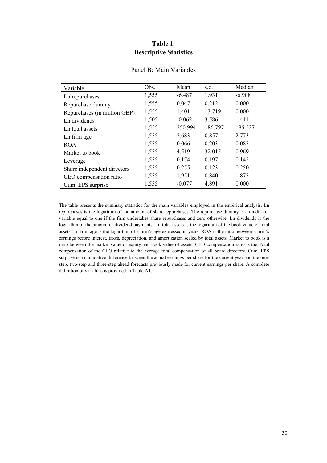#### **Table 1. Descriptive Statistics**

| Variable                     | Obs.  | Mean     | s.d.    | Median   |
|------------------------------|-------|----------|---------|----------|
| Ln repurchases               | 1,555 | $-6.487$ | 1.931   | $-6.908$ |
| Repurchase dummy             | 1,555 | 0.047    | 0.212   | 0.000    |
| Repurchases (in million GBP) | 1,555 | 1.401    | 13.719  | 0.000    |
| Ln dividends                 | 1,505 | $-0.062$ | 3.586   | 1.411    |
| Ln total assets              | 1,555 | 250.994  | 186.797 | 185.527  |
| Ln firm age                  | 1,555 | 2.683    | 0.857   | 2.773    |
| <b>ROA</b>                   | 1,555 | 0.066    | 0.203   | 0.085    |
| Market to book               | 1,555 | 4.519    | 32.015  | 0.969    |
| Leverage                     | 1,555 | 0.174    | 0.197   | 0.142    |
| Share independent directors  | 1,555 | 0.255    | 0.123   | 0.250    |
| CEO compensation ratio       | 1,555 | 1.951    | 0.840   | 1.875    |
| Cum. EPS surprise            | 1,555 | $-0.077$ | 4.891   | 0.000    |

#### Panel B: Main Variables

The table presents the summary statistics for the main variables employed in the empirical analysis. Ln repurchases is the logarithm of the amount of share repurchases. The repurchase dummy is an indicator variable equal to one if the firm undertakes share repurchases and zero otherwise. Ln dividends is the logarithm of the amount of dividend payments. Ln total assets is the logarithm of the book value of total assets. Ln firm age is the logarithm of a firm's age expressed in years. ROA is the ratio between a firm's earnings before interest, taxes, depreciation, and amortization scaled by total assets. Market to book is a ratio between the market value of equity and book value of assets. CEO compensation ratio is the Total compensation of the CEO relative to the average total compensation of all board directors. Cum. EPS surprise is a cumulative difference between the actual earnings per share for the current year and the onestep, two-step and three-step ahead forecasts previously made for current earnings per share. A complete definition of variables is provided in Table A1.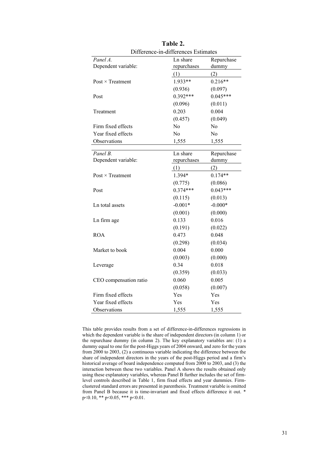| Difference-in-differences Estimates |             |            |  |  |  |  |
|-------------------------------------|-------------|------------|--|--|--|--|
| Panel A.                            | Ln share    | Repurchase |  |  |  |  |
| Dependent variable:                 | repurchases | dummy      |  |  |  |  |
|                                     | (1)         | (2)        |  |  |  |  |
| $Post \times Treatment$             | 1.933**     | $0.216**$  |  |  |  |  |
|                                     | (0.936)     | (0.097)    |  |  |  |  |
| Post                                | $0.392***$  | $0.045***$ |  |  |  |  |
|                                     | (0.096)     | (0.011)    |  |  |  |  |
| Treatment                           | 0.203       | 0.004      |  |  |  |  |
|                                     | (0.457)     | (0.049)    |  |  |  |  |
| Firm fixed effects                  | No          | No.        |  |  |  |  |
| Year fixed effects                  | No          | No         |  |  |  |  |
| Observations                        | 1,555       | 1,555      |  |  |  |  |
|                                     |             |            |  |  |  |  |
| Panel B.                            | Ln share    | Repurchase |  |  |  |  |
| Dependent variable:                 | repurchases | dummy      |  |  |  |  |
|                                     | (1)         | (2)        |  |  |  |  |
| Post $\times$ Treatment             | 1.394*      | $0.174**$  |  |  |  |  |
|                                     | (0.775)     | (0.086)    |  |  |  |  |
| Post                                | $0.374***$  | $0.043***$ |  |  |  |  |
|                                     | (0.115)     | (0.013)    |  |  |  |  |
| Ln total assets                     | $-0.001*$   | $-0.000*$  |  |  |  |  |
|                                     | (0.001)     | (0.000)    |  |  |  |  |
| Ln firm age                         | 0.133       | 0.016      |  |  |  |  |
|                                     | (0.191)     | (0.022)    |  |  |  |  |
| <b>ROA</b>                          | 0.473       | 0.048      |  |  |  |  |
|                                     | (0.298)     | (0.034)    |  |  |  |  |
| Market to book                      | 0.004       | 0.000      |  |  |  |  |
|                                     | (0.003)     | (0.000)    |  |  |  |  |
| Leverage                            | 0.34        | 0.018      |  |  |  |  |
|                                     | (0.359)     | (0.033)    |  |  |  |  |
| CEO compensation ratio              | 0.060       | 0.005      |  |  |  |  |
|                                     | (0.058)     | (0.007)    |  |  |  |  |
| Firm fixed effects                  | Yes         | Yes        |  |  |  |  |
| Year fixed effects                  | Yes         | Yes        |  |  |  |  |
| Observations                        | 1,555       | 1,555      |  |  |  |  |

**Table 2.** 

This table provides results from a set of difference-in-differences regressions in which the dependent variable is the share of independent directors (in column 1) or the repurchase dummy (in column 2). The key explanatory variables are: (1) a dummy equal to one for the post-Higgs years of 2004 onward, and zero for the years from 2000 to 2003, (2) a continuous variable indicating the difference between the share of independent directors in the years of the post-Higgs period and a firm's historical average of board independence computed from 2000 to 2003, and (3) the interaction between these two variables. Panel A shows the results obtained only using these explanatory variables, whereas Panel B further includes the set of firmlevel controls described in Table 1, firm fixed effects and year dummies. Firmclustered standard errors are presented in parenthesis. Treatment variable is omitted from Panel B because it is time-invariant and fixed effects difference it out. \* p<0.10, \*\* p<0.05, \*\*\* p<0.01.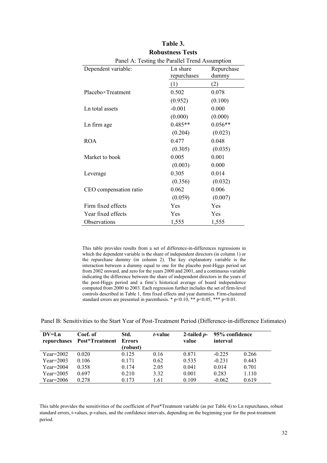| Panel A: Testing the Parallel Trend Assumption |             |            |  |  |  |
|------------------------------------------------|-------------|------------|--|--|--|
| Dependent variable:                            | Ln share    | Repurchase |  |  |  |
|                                                | repurchases | dummy      |  |  |  |
|                                                | (1)         | (2)        |  |  |  |
| Placebo×Treatment                              | 0.502       | 0.078      |  |  |  |
|                                                | (0.952)     | (0.100)    |  |  |  |
| Ln total assets                                | $-0.001$    | 0.000      |  |  |  |
|                                                | (0.000)     | (0.000)    |  |  |  |
| Ln firm age                                    | $0.485**$   | $0.056**$  |  |  |  |
|                                                | (0.204)     | (0.023)    |  |  |  |
| <b>ROA</b>                                     | 0.477       | 0.048      |  |  |  |
|                                                | (0.305)     | (0.035)    |  |  |  |
| Market to book                                 | 0.005       | 0.001      |  |  |  |
|                                                | (0.003)     | 0.000      |  |  |  |
| Leverage                                       | 0.305       | 0.014      |  |  |  |
|                                                | (0.356)     | (0.032)    |  |  |  |
| CEO compensation ratio                         | 0.062       | 0.006      |  |  |  |
|                                                | (0.059)     | (0.007)    |  |  |  |
| Firm fixed effects                             | Yes         | Yes        |  |  |  |
| Year fixed effects                             | Yes         | Yes        |  |  |  |
| Observations                                   | 1,555       | 1,555      |  |  |  |

| Table 3.                                                                                                     |
|--------------------------------------------------------------------------------------------------------------|
| <b>Robustness Tests</b>                                                                                      |
| $\mathsf{Pand} \ \wedge \ \mathsf{Tactino}$ the $\mathsf{Parallel}\ \mathsf{Trend} \ \wedge \mathsf{counti}$ |

This table provides results from a set of difference-in-differences regressions in which the dependent variable is the share of independent directors (in column 1) or the repurchase dummy (in column 2). The key explanatory variable is the interaction between a dummy equal to one for the placebo post-Higgs period set from 2002 onward, and zero for the years 2000 and 2001, and a continuous variable indicating the difference between the share of independent directors in the years of the post-Higgs period and a firm's historical average of board independence computed from 2000 to 2003. Each regression further includes the set of firm-level controls described in Table 1, firm fixed effects and year dummies. Firm-clustered standard errors are presented in parenthesis. \*  $p<0.10$ , \*\*  $p<0.05$ , \*\*\*  $p<0.01$ .

Panel B: Sensitivities to the Start Year of Post-Treatment Period (Difference-in-difference Estimates)

| $DV=Ln$     | Coef. of<br>repurchases Post*Treatment Errors | Std.<br>(robust) | <i>t</i> -value | 2-tailed $p-$<br>value | 95% confidence<br>interval |       |
|-------------|-----------------------------------------------|------------------|-----------------|------------------------|----------------------------|-------|
| $Year=2002$ | 0.020                                         | 0.125            | 0.16            | 0.871                  | $-0.225$                   | 0.266 |
| $Year=2003$ | 0.106                                         | 0.171            | 0.62            | 0.535                  | $-0.231$                   | 0.443 |
| $Year=2004$ | 0.358                                         | 0.174            | 2.05            | 0.041                  | 0.014                      | 0.701 |
| $Year=2005$ | 0.697                                         | 0.210            | 3.32            | 0.001                  | 0.283                      | 1.110 |
| $Year=2006$ | 0.278                                         | 0.173            | 1.61            | 0.109                  | $-0.062$                   | 0.619 |

This table provides the sensitivities of the coefficient of Post\*Treatment variable (as per Table 4) to Ln repurchases, robust standard errors, t-values, p-values, and the confidence intervals, depending on the beginning year for the post-treatment period.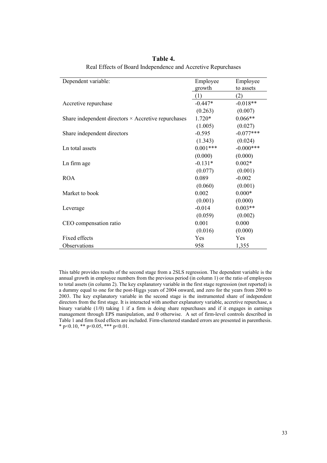| Dependent variable:                                        | Employee   | Employee    |
|------------------------------------------------------------|------------|-------------|
|                                                            | growth     | to assets   |
|                                                            | (1)        | (2)         |
| Accretive repurchase                                       | $-0.447*$  | $-0.018**$  |
|                                                            | (0.263)    | (0.007)     |
| Share independent directors $\times$ Accretive repurchases | $1.720*$   | $0.066**$   |
|                                                            | (1.005)    | (0.027)     |
| Share independent directors                                | $-0.595$   | $-0.077***$ |
|                                                            | (1.343)    | (0.024)     |
| Ln total assets                                            | $0.001***$ | $-0.000***$ |
|                                                            | (0.000)    | (0.000)     |
| Ln firm age                                                | $-0.131*$  | $0.002*$    |
|                                                            | (0.077)    | (0.001)     |
| <b>ROA</b>                                                 | 0.089      | $-0.002$    |
|                                                            | (0.060)    | (0.001)     |
| Market to book                                             | 0.002      | $0.000*$    |
|                                                            | (0.001)    | (0.000)     |
| Leverage                                                   | $-0.014$   | $0.003**$   |
|                                                            | (0.059)    | (0.002)     |
| CEO compensation ratio                                     | 0.001      | 0.000       |
|                                                            | (0.016)    | (0.000)     |
| Fixed effects                                              | Yes        | <b>Yes</b>  |
| Observations                                               | 958        | 1,355       |

**Table 4.**  Real Effects of Board Independence and Accretive Repurchases

This table provides results of the second stage from a 2SLS regression. The dependent variable is the annual growth in employee numbers from the previous period (in column 1) or the ratio of employees to total assets (in column 2). The key explanatory variable in the first stage regression (not reported) is a dummy equal to one for the post-Higgs years of 2004 onward, and zero for the years from 2000 to 2003. The key explanatory variable in the second stage is the instrumented share of independent directors from the first stage. It is interacted with another explanatory variable, accretive repurchase, a binary variable (1/0) taking 1 if a firm is doing share repurchases and if it engages in earnings management through EPS manipulation, and 0 otherwise. A set of firm-level controls described in Table 1 and firm fixed effects are included. Firm-clustered standard errors are presented in parenthesis. \* p<0.10, \*\* p<0.05, \*\*\* p<0.01.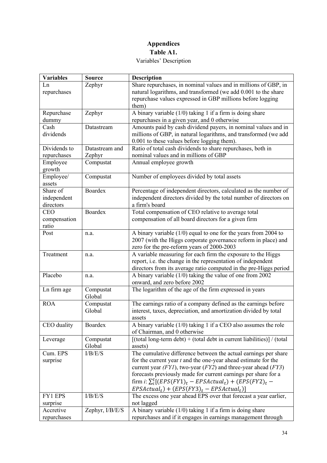### **Appendices Table A1.**  Variables' Description

| <b>Variables</b>                     | <b>Source</b>       | <b>Description</b>                                                                                                                                                                                       |
|--------------------------------------|---------------------|----------------------------------------------------------------------------------------------------------------------------------------------------------------------------------------------------------|
| Ln<br>repurchases                    | Zephyr              | Share repurchases, in nominal values and in millions of GBP, in<br>natural logarithms, and transformed (we add 0.001 to the share<br>repurchase values expressed in GBP millions before logging<br>them) |
| Repurchase<br>dummy                  | Zephyr              | A binary variable $(1/0)$ taking 1 if a firm is doing share<br>repurchases in a given year, and 0 otherwise                                                                                              |
| Cash                                 | Datastream          | Amounts paid by cash dividend payers, in nominal values and in                                                                                                                                           |
| dividends                            |                     | millions of GBP, in natural logarithms, and transformed (we add<br>0.001 to these values before logging them).                                                                                           |
| Dividends to                         | Datastream and      | Ratio of total cash dividends to share repurchases, both in                                                                                                                                              |
| repurchases                          | Zephyr              | nominal values and in millions of GBP                                                                                                                                                                    |
| Employee<br>growth                   | Compustat           | Annual employee growth                                                                                                                                                                                   |
| Employee/<br>assets                  | Compustat           | Number of employees divided by total assets                                                                                                                                                              |
| Share of<br>independent<br>directors | Boardex             | Percentage of independent directors, calculated as the number of<br>independent directors divided by the total number of directors on<br>a firm's board                                                  |
| <b>CEO</b>                           | Boardex             | Total compensation of CEO relative to average total                                                                                                                                                      |
| compensation<br>ratio                |                     | compensation of all board directors for a given firm                                                                                                                                                     |
| Post                                 | n.a.                | A binary variable $(1/0)$ equal to one for the years from 2004 to<br>2007 (with the Higgs corporate governance reform in place) and<br>zero for the pre-reform years of 2000-2003                        |
| Treatment                            | n.a.                | A variable measuring for each firm the exposure to the Higgs<br>report, i.e. the change in the representation of independent<br>directors from its average ratio computed in the pre-Higgs period        |
| Placebo                              | n.a.                | A binary variable $(1/0)$ taking the value of one from 2002<br>onward, and zero before 2002                                                                                                              |
| Ln firm age                          | Compustat<br>Global | The logarithm of the age of the firm expressed in years                                                                                                                                                  |
| <b>ROA</b>                           | Compustat<br>Global | The earnings ratio of a company defined as the earnings before<br>interest, taxes, depreciation, and amortization divided by total<br>assets                                                             |
| CEO duality                          | Boardex             | A binary variable $(1/0)$ taking 1 if a CEO also assumes the role<br>of Chairman, and 0 otherwise                                                                                                        |
| Leverage                             | Compustat<br>Global | [(total long-term debt) + (total debt in current liabilities)] / (total<br>assets)                                                                                                                       |
| Cum. EPS                             | I/B/E/S             | The cumulative difference between the actual earnings per share                                                                                                                                          |
| surprise                             |                     | for the current year $t$ and the one-year ahead estimate for the                                                                                                                                         |
|                                      |                     | current year $(FYI)$ , two-year $(FY2)$ and three-year ahead $(FY3)$                                                                                                                                     |
|                                      |                     | forecasts previously made for current earnings per share for a                                                                                                                                           |
|                                      |                     | firm i: $\sum_{i}^{t} [(EPS(FY1)t - EPSActualt) + (EPS(FY2)t -$<br>$EPSActual_t$ + $(EPS(FY3)_t - EPSActual_t)$                                                                                          |
| FY1 EPS                              | I/B/E/S             | The excess one year ahead EPS over that forecast a year earlier,                                                                                                                                         |
| surprise                             |                     | not lagged                                                                                                                                                                                               |
| Accretive                            | Zephyr, I/B/E/S     | A binary variable $(1/0)$ taking 1 if a firm is doing share                                                                                                                                              |
| repurchases                          |                     | repurchases and if it engages in earnings management through                                                                                                                                             |